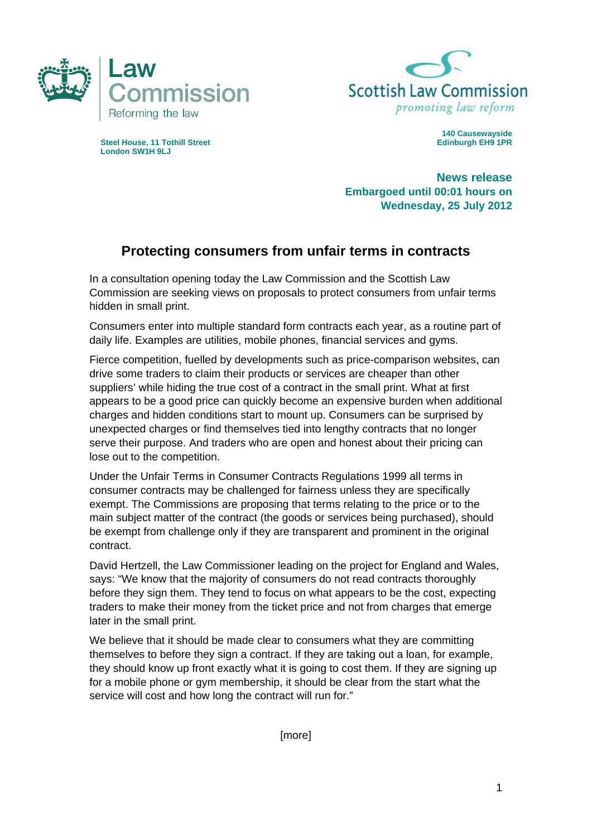



**Steel House, 11 Tothill Street Exercise Edinburgh EH9 1PR Edinburgh EH9 1PR London SW1H 9LJ** 

**140 Causewayside** 

**News release Embargoed until 00:01 hours on Wednesday, 25 July 2012** 

## **Protecting consumers from unfair terms in contracts**

In a consultation opening today the Law Commission and the Scottish Law Commission are seeking views on proposals to protect consumers from unfair terms hidden in small print.

Consumers enter into multiple standard form contracts each year, as a routine part of daily life. Examples are utilities, mobile phones, financial services and gyms.

Fierce competition, fuelled by developments such as price-comparison websites, can drive some traders to claim their products or services are cheaper than other suppliers' while hiding the true cost of a contract in the small print. What at first appears to be a good price can quickly become an expensive burden when additional charges and hidden conditions start to mount up. Consumers can be surprised by unexpected charges or find themselves tied into lengthy contracts that no longer serve their purpose. And traders who are open and honest about their pricing can lose out to the competition.

Under the Unfair Terms in Consumer Contracts Regulations 1999 all terms in consumer contracts may be challenged for fairness unless they are specifically exempt. The Commissions are proposing that terms relating to the price or to the main subject matter of the contract (the goods or services being purchased), should be exempt from challenge only if they are transparent and prominent in the original contract.

David Hertzell, the Law Commissioner leading on the project for England and Wales, says: "We know that the majority of consumers do not read contracts thoroughly before they sign them. They tend to focus on what appears to be the cost, expecting traders to make their money from the ticket price and not from charges that emerge later in the small print.

We believe that it should be made clear to consumers what they are committing themselves to before they sign a contract. If they are taking out a loan, for example, they should know up front exactly what it is going to cost them. If they are signing up for a mobile phone or gym membership, it should be clear from the start what the service will cost and how long the contract will run for."

[more]